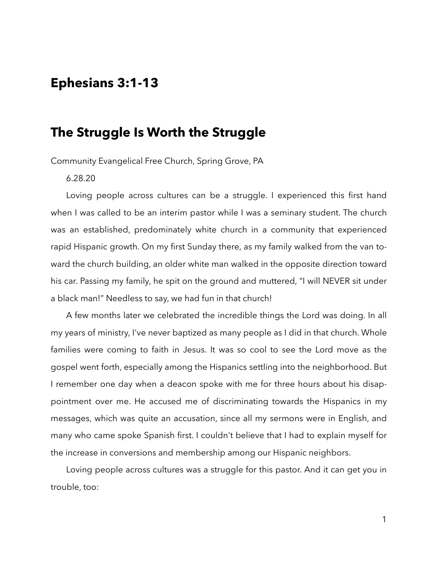## **Ephesians 3:1-13**

## **The Struggle Is Worth the Struggle**

Community Evangelical Free Church, Spring Grove, PA

6.28.20

Loving people across cultures can be a struggle. I experienced this first hand when I was called to be an interim pastor while I was a seminary student. The church was an established, predominately white church in a community that experienced rapid Hispanic growth. On my first Sunday there, as my family walked from the van toward the church building, an older white man walked in the opposite direction toward his car. Passing my family, he spit on the ground and muttered, "I will NEVER sit under a black man!" Needless to say, we had fun in that church!

A few months later we celebrated the incredible things the Lord was doing. In all my years of ministry, I've never baptized as many people as I did in that church. Whole families were coming to faith in Jesus. It was so cool to see the Lord move as the gospel went forth, especially among the Hispanics settling into the neighborhood. But I remember one day when a deacon spoke with me for three hours about his disappointment over me. He accused me of discriminating towards the Hispanics in my messages, which was quite an accusation, since all my sermons were in English, and many who came spoke Spanish first. I couldn't believe that I had to explain myself for the increase in conversions and membership among our Hispanic neighbors.

Loving people across cultures was a struggle for this pastor. And it can get you in trouble, too: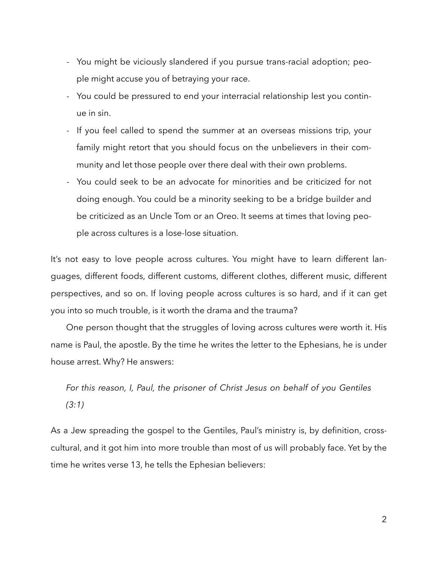- You might be viciously slandered if you pursue trans-racial adoption; people might accuse you of betraying your race.
- You could be pressured to end your interracial relationship lest you continue in sin.
- If you feel called to spend the summer at an overseas missions trip, your family might retort that you should focus on the unbelievers in their community and let those people over there deal with their own problems.
- You could seek to be an advocate for minorities and be criticized for not doing enough. You could be a minority seeking to be a bridge builder and be criticized as an Uncle Tom or an Oreo. It seems at times that loving people across cultures is a lose-lose situation.

It's not easy to love people across cultures. You might have to learn different languages, different foods, different customs, different clothes, different music, different perspectives, and so on. If loving people across cultures is so hard, and if it can get you into so much trouble, is it worth the drama and the trauma?

One person thought that the struggles of loving across cultures were worth it. His name is Paul, the apostle. By the time he writes the letter to the Ephesians, he is under house arrest. Why? He answers:

*For this reason, I, Paul, the prisoner of Christ Jesus on behalf of you Gentiles (3:1)* 

As a Jew spreading the gospel to the Gentiles, Paul's ministry is, by definition, crosscultural, and it got him into more trouble than most of us will probably face. Yet by the time he writes verse 13, he tells the Ephesian believers: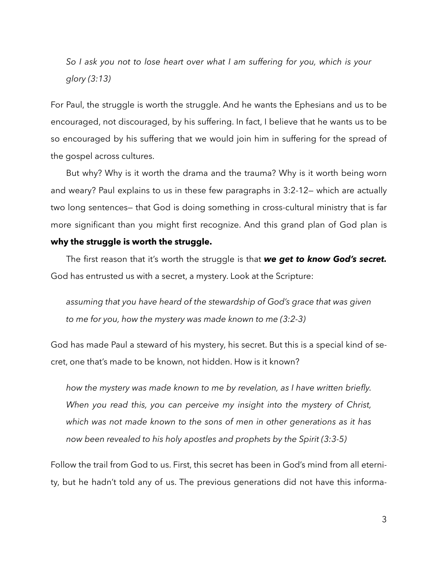*So I ask you not to lose heart over what I am suffering for you, which is your glory (3:13)* 

For Paul, the struggle is worth the struggle. And he wants the Ephesians and us to be encouraged, not discouraged, by his suffering. In fact, I believe that he wants us to be so encouraged by his suffering that we would join him in suffering for the spread of the gospel across cultures.

But why? Why is it worth the drama and the trauma? Why is it worth being worn and weary? Paul explains to us in these few paragraphs in 3:2-12— which are actually two long sentences— that God is doing something in cross-cultural ministry that is far more significant than you might first recognize. And this grand plan of God plan is **why the struggle is worth the struggle.**

The first reason that it's worth the struggle is that *we get to know God's secret.* God has entrusted us with a secret, a mystery. Look at the Scripture:

*assuming that you have heard of the stewardship of God's grace that was given to me for you, how the mystery was made known to me (3:2-3)* 

God has made Paul a steward of his mystery, his secret. But this is a special kind of secret, one that's made to be known, not hidden. How is it known?

*how the mystery was made known to me by revelation, as I have written briefly. When you read this, you can perceive my insight into the mystery of Christ, which was not made known to the sons of men in other generations as it has now been revealed to his holy apostles and prophets by the Spirit (3:3-5)* 

Follow the trail from God to us. First, this secret has been in God's mind from all eternity, but he hadn't told any of us. The previous generations did not have this informa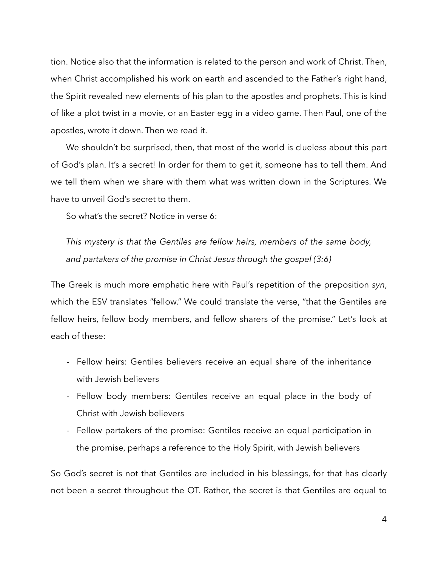tion. Notice also that the information is related to the person and work of Christ. Then, when Christ accomplished his work on earth and ascended to the Father's right hand, the Spirit revealed new elements of his plan to the apostles and prophets. This is kind of like a plot twist in a movie, or an Easter egg in a video game. Then Paul, one of the apostles, wrote it down. Then we read it.

We shouldn't be surprised, then, that most of the world is clueless about this part of God's plan. It's a secret! In order for them to get it, someone has to tell them. And we tell them when we share with them what was written down in the Scriptures. We have to unveil God's secret to them.

So what's the secret? Notice in verse 6:

*This mystery is that the Gentiles are fellow heirs, members of the same body, and partakers of the promise in Christ Jesus through the gospel (3:6)* 

The Greek is much more emphatic here with Paul's repetition of the preposition *syn*, which the ESV translates "fellow." We could translate the verse, "that the Gentiles are fellow heirs, fellow body members, and fellow sharers of the promise." Let's look at each of these:

- Fellow heirs: Gentiles believers receive an equal share of the inheritance with Jewish believers
- Fellow body members: Gentiles receive an equal place in the body of Christ with Jewish believers
- Fellow partakers of the promise: Gentiles receive an equal participation in the promise, perhaps a reference to the Holy Spirit, with Jewish believers

So God's secret is not that Gentiles are included in his blessings, for that has clearly not been a secret throughout the OT. Rather, the secret is that Gentiles are equal to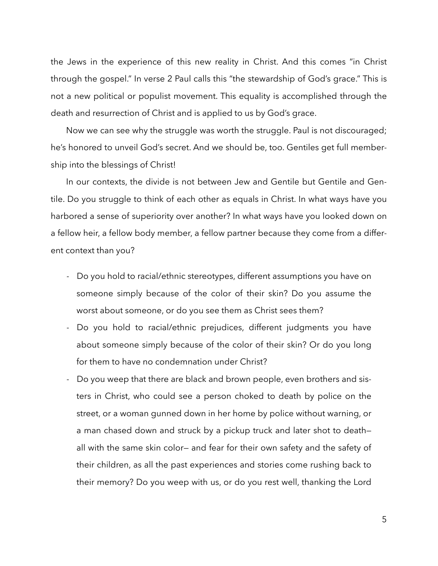the Jews in the experience of this new reality in Christ. And this comes "in Christ through the gospel." In verse 2 Paul calls this "the stewardship of God's grace." This is not a new political or populist movement. This equality is accomplished through the death and resurrection of Christ and is applied to us by God's grace.

Now we can see why the struggle was worth the struggle. Paul is not discouraged; he's honored to unveil God's secret. And we should be, too. Gentiles get full membership into the blessings of Christ!

In our contexts, the divide is not between Jew and Gentile but Gentile and Gentile. Do you struggle to think of each other as equals in Christ. In what ways have you harbored a sense of superiority over another? In what ways have you looked down on a fellow heir, a fellow body member, a fellow partner because they come from a different context than you?

- Do you hold to racial/ethnic stereotypes, different assumptions you have on someone simply because of the color of their skin? Do you assume the worst about someone, or do you see them as Christ sees them?
- Do you hold to racial/ethnic prejudices, different judgments you have about someone simply because of the color of their skin? Or do you long for them to have no condemnation under Christ?
- Do you weep that there are black and brown people, even brothers and sisters in Christ, who could see a person choked to death by police on the street, or a woman gunned down in her home by police without warning, or a man chased down and struck by a pickup truck and later shot to death all with the same skin color— and fear for their own safety and the safety of their children, as all the past experiences and stories come rushing back to their memory? Do you weep with us, or do you rest well, thanking the Lord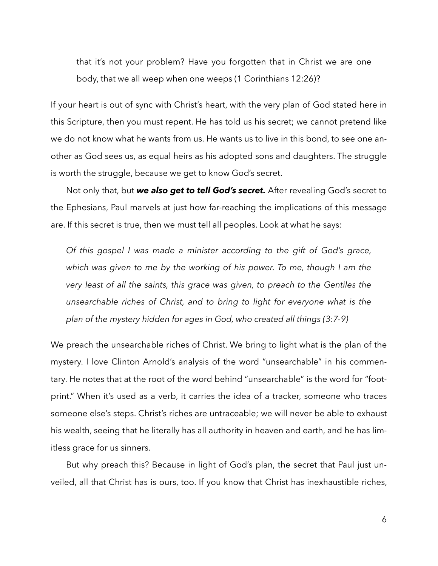that it's not your problem? Have you forgotten that in Christ we are one body, that we all weep when one weeps (1 Corinthians 12:26)?

If your heart is out of sync with Christ's heart, with the very plan of God stated here in this Scripture, then you must repent. He has told us his secret; we cannot pretend like we do not know what he wants from us. He wants us to live in this bond, to see one another as God sees us, as equal heirs as his adopted sons and daughters. The struggle is worth the struggle, because we get to know God's secret.

Not only that, but *we also get to tell God's secret.* After revealing God's secret to the Ephesians, Paul marvels at just how far-reaching the implications of this message are. If this secret is true, then we must tell all peoples. Look at what he says:

*Of this gospel I was made a minister according to the gift of God's grace, which was given to me by the working of his power. To me, though I am the very least of all the saints, this grace was given, to preach to the Gentiles the unsearchable riches of Christ, and to bring to light for everyone what is the plan of the mystery hidden for ages in God, who created all things (3:7-9)* 

We preach the unsearchable riches of Christ. We bring to light what is the plan of the mystery. I love Clinton Arnold's analysis of the word "unsearchable" in his commentary. He notes that at the root of the word behind "unsearchable" is the word for "footprint." When it's used as a verb, it carries the idea of a tracker, someone who traces someone else's steps. Christ's riches are untraceable; we will never be able to exhaust his wealth, seeing that he literally has all authority in heaven and earth, and he has limitless grace for us sinners.

But why preach this? Because in light of God's plan, the secret that Paul just unveiled, all that Christ has is ours, too. If you know that Christ has inexhaustible riches,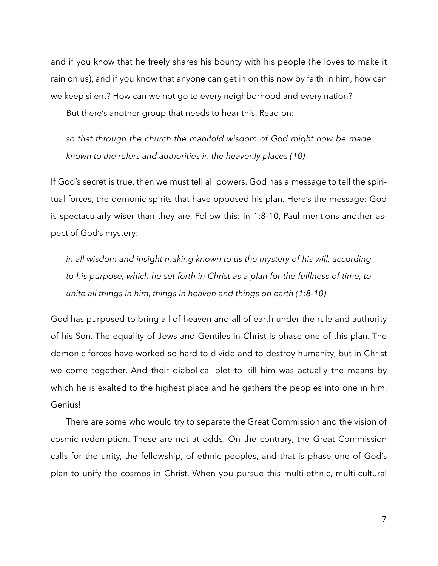and if you know that he freely shares his bounty with his people (he loves to make it rain on us), and if you know that anyone can get in on this now by faith in him, how can we keep silent? How can we not go to every neighborhood and every nation?

But there's another group that needs to hear this. Read on:

*so that through the church the manifold wisdom of God might now be made known to the rulers and authorities in the heavenly places (10)* 

If God's secret is true, then we must tell all powers. God has a message to tell the spiritual forces, the demonic spirits that have opposed his plan. Here's the message: God is spectacularly wiser than they are. Follow this: in 1:8-10, Paul mentions another aspect of God's mystery:

in all wisdom and insight making known to us the mystery of his will, according *to his purpose, which he set forth in Christ as a plan for the fulllness of time, to unite all things in him, things in heaven and things on earth (1:8-10)* 

God has purposed to bring all of heaven and all of earth under the rule and authority of his Son. The equality of Jews and Gentiles in Christ is phase one of this plan. The demonic forces have worked so hard to divide and to destroy humanity, but in Christ we come together. And their diabolical plot to kill him was actually the means by which he is exalted to the highest place and he gathers the peoples into one in him. Genius!

There are some who would try to separate the Great Commission and the vision of cosmic redemption. These are not at odds. On the contrary, the Great Commission calls for the unity, the fellowship, of ethnic peoples, and that is phase one of God's plan to unify the cosmos in Christ. When you pursue this multi-ethnic, multi-cultural